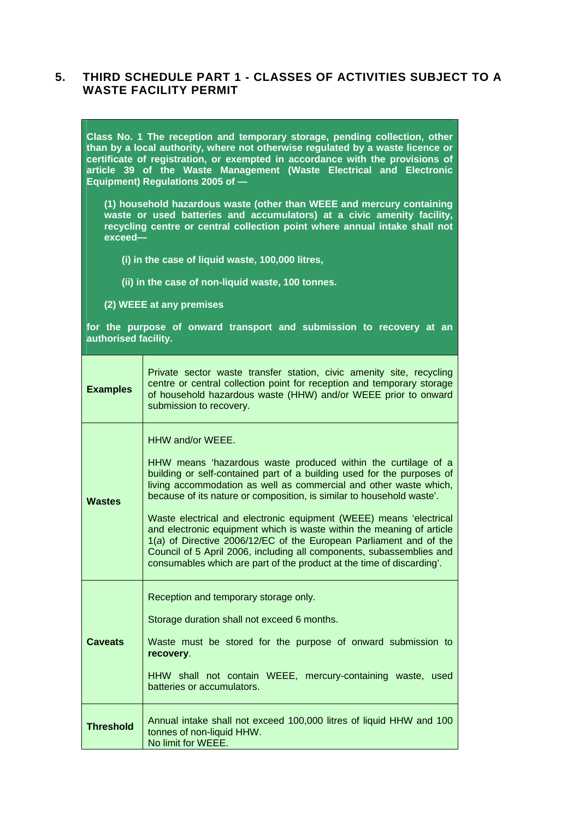## **5. THIRD SCHEDULE PART 1 - CLASSES OF ACTIVITIES SUBJECT TO A WASTE FACILITY PERMIT**

**Class No. 1 The reception and temporary storage, pending collection, other than by a local authority, where not otherwise regulated by a waste licence or certificate of registration, or exempted in accordance with the provisions of article 39 of the Waste Management (Waste Electrical and Electronic Equipment) Regulations 2005 of —** 

**(1) household hazardous waste (other than WEEE and mercury containing waste or used batteries and accumulators) at a civic amenity facility, recycling centre or central collection point where annual intake shall not exceed—** 

- **(i) in the case of liquid waste, 100,000 litres,**
- **(ii) in the case of non-liquid waste, 100 tonnes.**
- **(2) WEEE at any premises**

**for the purpose of onward transport and submission to recovery at an authorised facility.**

| <b>Examples</b>  | Private sector waste transfer station, civic amenity site, recycling<br>centre or central collection point for reception and temporary storage<br>of household hazardous waste (HHW) and/or WEEE prior to onward<br>submission to recovery.                                                                                                                                                                                                                                                                                                                                                                                                                                     |
|------------------|---------------------------------------------------------------------------------------------------------------------------------------------------------------------------------------------------------------------------------------------------------------------------------------------------------------------------------------------------------------------------------------------------------------------------------------------------------------------------------------------------------------------------------------------------------------------------------------------------------------------------------------------------------------------------------|
| <b>Wastes</b>    | HHW and/or WEEE.<br>HHW means 'hazardous waste produced within the curtilage of a<br>building or self-contained part of a building used for the purposes of<br>living accommodation as well as commercial and other waste which,<br>because of its nature or composition, is similar to household waste'.<br>Waste electrical and electronic equipment (WEEE) means 'electrical<br>and electronic equipment which is waste within the meaning of article<br>1(a) of Directive 2006/12/EC of the European Parliament and of the<br>Council of 5 April 2006, including all components, subassemblies and<br>consumables which are part of the product at the time of discarding'. |
| <b>Caveats</b>   | Reception and temporary storage only.<br>Storage duration shall not exceed 6 months.<br>Waste must be stored for the purpose of onward submission to<br>recovery.<br>HHW shall not contain WEEE, mercury-containing waste, used<br>batteries or accumulators.                                                                                                                                                                                                                                                                                                                                                                                                                   |
| <b>Threshold</b> | Annual intake shall not exceed 100,000 litres of liquid HHW and 100<br>tonnes of non-liquid HHW.<br>No limit for WEEE.                                                                                                                                                                                                                                                                                                                                                                                                                                                                                                                                                          |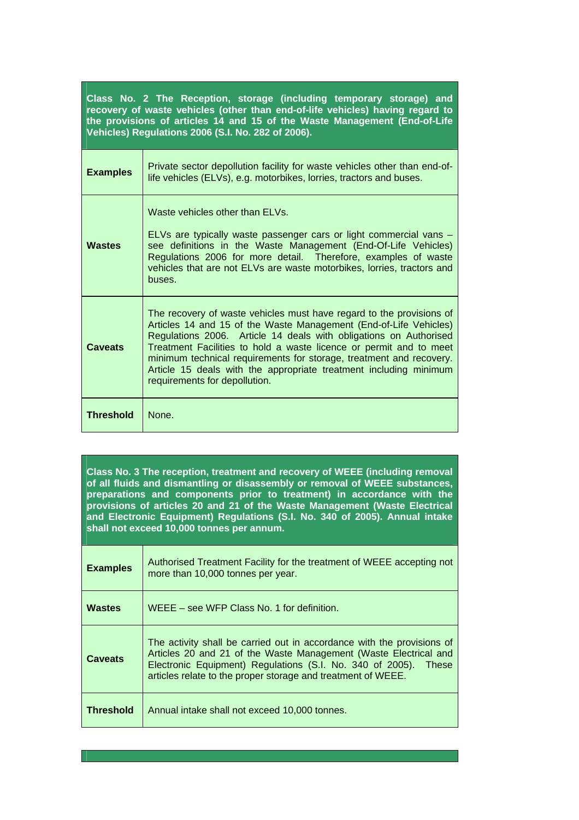**Class No. 2 The Reception, storage (including temporary storage) and recovery of waste vehicles (other than end-of-life vehicles) having regard to the provisions of articles 14 and 15 of the Waste Management (End-of-Life Vehicles) Regulations 2006 (S.I. No. 282 of 2006).**

| <b>Examples</b>  | Private sector depollution facility for waste vehicles other than end-of-<br>life vehicles (ELVs), e.g. motorbikes, lorries, tractors and buses.                                                                                                                                                                                                                                                                                                                  |
|------------------|-------------------------------------------------------------------------------------------------------------------------------------------------------------------------------------------------------------------------------------------------------------------------------------------------------------------------------------------------------------------------------------------------------------------------------------------------------------------|
| <b>Wastes</b>    | Waste vehicles other than ELVs.<br>ELVs are typically waste passenger cars or light commercial vans -<br>see definitions in the Waste Management (End-Of-Life Vehicles)<br>Regulations 2006 for more detail. Therefore, examples of waste<br>vehicles that are not ELVs are waste motorbikes, lorries, tractors and<br>buses.                                                                                                                                     |
| <b>Caveats</b>   | The recovery of waste vehicles must have regard to the provisions of<br>Articles 14 and 15 of the Waste Management (End-of-Life Vehicles)<br>Regulations 2006. Article 14 deals with obligations on Authorised<br>Treatment Facilities to hold a waste licence or permit and to meet<br>minimum technical requirements for storage, treatment and recovery.<br>Article 15 deals with the appropriate treatment including minimum<br>requirements for depollution. |
| <b>Threshold</b> | <b>None</b>                                                                                                                                                                                                                                                                                                                                                                                                                                                       |

**Class No. 3 The reception, treatment and recovery of WEEE (including removal of all fluids and dismantling or disassembly or removal of WEEE substances, preparations and components prior to treatment) in accordance with the provisions of articles 20 and 21 of the Waste Management (Waste Electrical and Electronic Equipment) Regulations (S.I. No. 340 of 2005). Annual intake shall not exceed 10,000 tonnes per annum.**

| <b>Examples</b>  | Authorised Treatment Facility for the treatment of WEEE accepting not<br>more than 10,000 tonnes per year.                                                                                                                                                                       |
|------------------|----------------------------------------------------------------------------------------------------------------------------------------------------------------------------------------------------------------------------------------------------------------------------------|
| <b>Wastes</b>    | WEEE – see WFP Class No. 1 for definition.                                                                                                                                                                                                                                       |
| <b>Caveats</b>   | The activity shall be carried out in accordance with the provisions of<br>Articles 20 and 21 of the Waste Management (Waste Electrical and<br>Electronic Equipment) Regulations (S.I. No. 340 of 2005).<br>These<br>articles relate to the proper storage and treatment of WEEE. |
| <b>Threshold</b> | Annual intake shall not exceed 10,000 tonnes.                                                                                                                                                                                                                                    |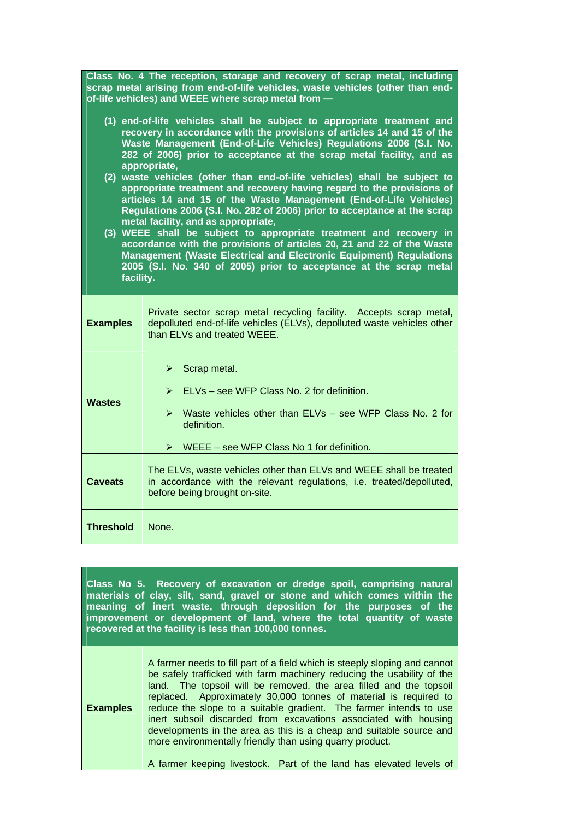| Class No. 4 The reception, storage and recovery of scrap metal, including<br>scrap metal arising from end-of-life vehicles, waste vehicles (other than end-<br>of-life vehicles) and WEEE where scrap metal from -                                                                                                                                                                                                                                                                                                                                                                                                                                                                                                                                                                                                                                                                                                                                                   |                                                                                                                                                                                                                                            |
|----------------------------------------------------------------------------------------------------------------------------------------------------------------------------------------------------------------------------------------------------------------------------------------------------------------------------------------------------------------------------------------------------------------------------------------------------------------------------------------------------------------------------------------------------------------------------------------------------------------------------------------------------------------------------------------------------------------------------------------------------------------------------------------------------------------------------------------------------------------------------------------------------------------------------------------------------------------------|--------------------------------------------------------------------------------------------------------------------------------------------------------------------------------------------------------------------------------------------|
| (1) end-of-life vehicles shall be subject to appropriate treatment and<br>recovery in accordance with the provisions of articles 14 and 15 of the<br>Waste Management (End-of-Life Vehicles) Regulations 2006 (S.I. No.<br>282 of 2006) prior to acceptance at the scrap metal facility, and as<br>appropriate,<br>(2) waste vehicles (other than end-of-life vehicles) shall be subject to<br>appropriate treatment and recovery having regard to the provisions of<br>articles 14 and 15 of the Waste Management (End-of-Life Vehicles)<br>Regulations 2006 (S.I. No. 282 of 2006) prior to acceptance at the scrap<br>metal facility, and as appropriate,<br>(3) WEEE shall be subject to appropriate treatment and recovery in<br>accordance with the provisions of articles 20, 21 and 22 of the Waste<br>Management (Waste Electrical and Electronic Equipment) Regulations<br>2005 (S.I. No. 340 of 2005) prior to acceptance at the scrap metal<br>facility. |                                                                                                                                                                                                                                            |
| <b>Examples</b>                                                                                                                                                                                                                                                                                                                                                                                                                                                                                                                                                                                                                                                                                                                                                                                                                                                                                                                                                      | Private sector scrap metal recycling facility. Accepts scrap metal,<br>depolluted end-of-life vehicles (ELVs), depolluted waste vehicles other<br>than ELVs and treated WEEE.                                                              |
| <b>Wastes</b>                                                                                                                                                                                                                                                                                                                                                                                                                                                                                                                                                                                                                                                                                                                                                                                                                                                                                                                                                        | ➤<br>Scrap metal.<br>$\triangleright$ ELVs – see WFP Class No. 2 for definition.<br>$\triangleright$ Waste vehicles other than ELVs – see WFP Class No. 2 for<br>definition.<br>$\triangleright$ WEEE – see WFP Class No 1 for definition. |
| <b>Caveats</b>                                                                                                                                                                                                                                                                                                                                                                                                                                                                                                                                                                                                                                                                                                                                                                                                                                                                                                                                                       | The ELVs, waste vehicles other than ELVs and WEEE shall be treated<br>in accordance with the relevant regulations, i.e. treated/depolluted,<br>before being brought on-site.                                                               |
| <b>Threshold</b>                                                                                                                                                                                                                                                                                                                                                                                                                                                                                                                                                                                                                                                                                                                                                                                                                                                                                                                                                     | None.                                                                                                                                                                                                                                      |

**Class No 5. Recovery of excavation or dredge spoil, comprising natural materials of clay, silt, sand, gravel or stone and which comes within the meaning of inert waste, through deposition for the purposes of the improvement or development of land, where the total quantity of waste recovered at the facility is less than 100,000 tonnes.**

**Examples**  A farmer needs to fill part of a field which is steeply sloping and cannot be safely trafficked with farm machinery reducing the usability of the land. The topsoil will be removed, the area filled and the topsoil replaced. Approximately 30,000 tonnes of material is required to reduce the slope to a suitable gradient. The farmer intends to use inert subsoil discarded from excavations associated with housing developments in the area as this is a cheap and suitable source and more environmentally friendly than using quarry product. A farmer keeping livestock. Part of the land has elevated levels of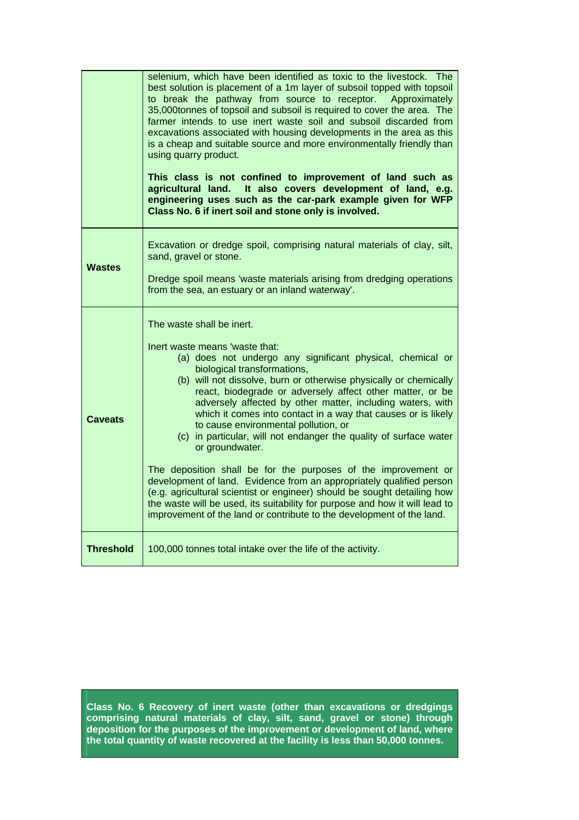|                  | selenium, which have been identified as toxic to the livestock. The<br>best solution is placement of a 1m layer of subsoil topped with topsoil<br>to break the pathway from source to receptor. Approximately<br>35,000tonnes of topsoil and subsoil is required to cover the area. The<br>farmer intends to use inert waste soil and subsoil discarded from<br>excavations associated with housing developments in the area as this<br>is a cheap and suitable source and more environmentally friendly than<br>using quarry product.<br>This class is not confined to improvement of land such as<br>agricultural land. It also covers development of land, e.g.<br>engineering uses such as the car-park example given for WFP<br>Class No. 6 if inert soil and stone only is involved.                                                                                                                                              |
|------------------|-----------------------------------------------------------------------------------------------------------------------------------------------------------------------------------------------------------------------------------------------------------------------------------------------------------------------------------------------------------------------------------------------------------------------------------------------------------------------------------------------------------------------------------------------------------------------------------------------------------------------------------------------------------------------------------------------------------------------------------------------------------------------------------------------------------------------------------------------------------------------------------------------------------------------------------------|
| <b>Wastes</b>    | Excavation or dredge spoil, comprising natural materials of clay, silt,<br>sand, gravel or stone.<br>Dredge spoil means 'waste materials arising from dredging operations<br>from the sea, an estuary or an inland waterway'.                                                                                                                                                                                                                                                                                                                                                                                                                                                                                                                                                                                                                                                                                                           |
| <b>Caveats</b>   | The waste shall be inert.<br>Inert waste means 'waste that:<br>(a) does not undergo any significant physical, chemical or<br>biological transformations,<br>(b) will not dissolve, burn or otherwise physically or chemically<br>react, biodegrade or adversely affect other matter, or be<br>adversely affected by other matter, including waters, with<br>which it comes into contact in a way that causes or is likely<br>to cause environmental pollution, or<br>(c) in particular, will not endanger the quality of surface water<br>or groundwater.<br>The deposition shall be for the purposes of the improvement or<br>development of land. Evidence from an appropriately qualified person<br>(e.g. agricultural scientist or engineer) should be sought detailing how<br>the waste will be used, its suitability for purpose and how it will lead to<br>improvement of the land or contribute to the development of the land. |
| <b>Threshold</b> | 100,000 tonnes total intake over the life of the activity.                                                                                                                                                                                                                                                                                                                                                                                                                                                                                                                                                                                                                                                                                                                                                                                                                                                                              |

**Class No. 6 Recovery of inert waste (other than excavations or dredgings comprising natural materials of clay, silt, sand, gravel or stone) through deposition for the purposes of the improvement or development of land, where the total quantity of waste recovered at the facility is less than 50,000 tonnes.**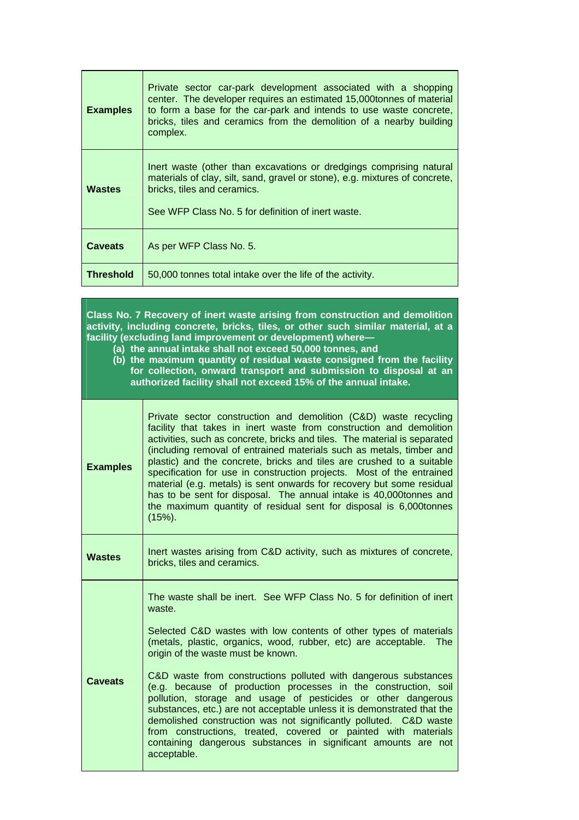| <b>Examples</b>  | Private sector car-park development associated with a shopping<br>center. The developer requires an estimated 15,000 tonnes of material<br>to form a base for the car-park and intends to use waste concrete,<br>bricks, tiles and ceramics from the demolition of a nearby building<br>complex. |
|------------------|--------------------------------------------------------------------------------------------------------------------------------------------------------------------------------------------------------------------------------------------------------------------------------------------------|
| <b>Wastes</b>    | Inert waste (other than excavations or dredgings comprising natural<br>materials of clay, silt, sand, gravel or stone), e.g. mixtures of concrete,<br>bricks, tiles and ceramics.<br>See WFP Class No. 5 for definition of inert waste.                                                          |
| <b>Caveats</b>   | As per WFP Class No. 5.                                                                                                                                                                                                                                                                          |
| <b>Threshold</b> | 50,000 tonnes total intake over the life of the activity.                                                                                                                                                                                                                                        |

**Class No. 7 Recovery of inert waste arising from construction and demolition**  activity, including concrete, bricks, tiles, or other such similar material, at a **facility (excluding land improvement or development) where—** 

**(a) the annual intake shall not exceed 50,000 tonnes, and** 

**(b) the maximum quantity of residual waste consigned from the facility for collection, onward transport and submission to disposal at an authorized facility shall not exceed 15% of the annual intake.** 

| <b>Examples</b> | Private sector construction and demolition (C&D) waste recycling<br>facility that takes in inert waste from construction and demolition<br>activities, such as concrete, bricks and tiles. The material is separated<br>(including removal of entrained materials such as metals, timber and<br>plastic) and the concrete, bricks and tiles are crushed to a suitable<br>specification for use in construction projects. Most of the entrained<br>material (e.g. metals) is sent onwards for recovery but some residual<br>has to be sent for disposal. The annual intake is 40,000 tonnes and<br>the maximum quantity of residual sent for disposal is 6,000 tonnes<br>$(15%)$ . |
|-----------------|-----------------------------------------------------------------------------------------------------------------------------------------------------------------------------------------------------------------------------------------------------------------------------------------------------------------------------------------------------------------------------------------------------------------------------------------------------------------------------------------------------------------------------------------------------------------------------------------------------------------------------------------------------------------------------------|
| <b>Wastes</b>   | Inert wastes arising from C&D activity, such as mixtures of concrete,<br>bricks, tiles and ceramics.                                                                                                                                                                                                                                                                                                                                                                                                                                                                                                                                                                              |
|                 | The waste shall be inert. See WFP Class No. 5 for definition of inert<br>waste.<br>Selected C&D wastes with low contents of other types of materials<br>(metals, plastic, organics, wood, rubber, etc) are acceptable.<br>The<br>origin of the waste must be known.                                                                                                                                                                                                                                                                                                                                                                                                               |
| Caveats         | C&D waste from constructions polluted with dangerous substances<br>(e.g. because of production processes in the construction, soil<br>pollution, storage and usage of pesticides or other dangerous<br>substances, etc.) are not acceptable unless it is demonstrated that the<br>demolished construction was not significantly polluted. C&D waste<br>from constructions, treated, covered or painted with materials<br>containing dangerous substances in significant amounts are not<br>acceptable.                                                                                                                                                                            |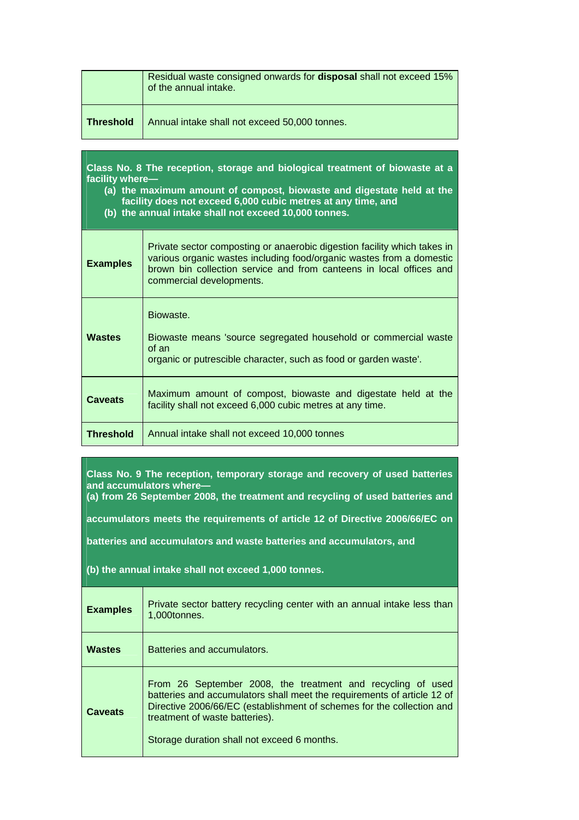|                  | Residual waste consigned onwards for <b>disposal</b> shall not exceed 15%<br>of the annual intake. |
|------------------|----------------------------------------------------------------------------------------------------|
| <b>Threshold</b> | Annual intake shall not exceed 50,000 tonnes.                                                      |

**Class No. 8 The reception, storage and biological treatment of biowaste at a facility where—** 

**(a) the maximum amount of compost, biowaste and digestate held at the facility does not exceed 6,000 cubic metres at any time, and** 

**(b) the annual intake shall not exceed 10,000 tonnes.** 

| <b>Examples</b>  | Private sector composting or anaerobic digestion facility which takes in<br>various organic wastes including food/organic wastes from a domestic<br>brown bin collection service and from canteens in local offices and<br>commercial developments. |
|------------------|-----------------------------------------------------------------------------------------------------------------------------------------------------------------------------------------------------------------------------------------------------|
| <b>Wastes</b>    | Biowaste.<br>Biowaste means 'source segregated household or commercial waste<br>of an<br>organic or putrescible character, such as food or garden waste.                                                                                            |
| <b>Caveats</b>   | Maximum amount of compost, biowaste and digestate held at the<br>facility shall not exceed 6,000 cubic metres at any time.                                                                                                                          |
| <b>Threshold</b> | Annual intake shall not exceed 10,000 tonnes                                                                                                                                                                                                        |

**Class No. 9 The reception, temporary storage and recovery of used batteries and accumulators where—** 

**(a) from 26 September 2008, the treatment and recycling of used batteries and** 

**accumulators meets the requirements of article 12 of Directive 2006/66/EC on** 

**batteries and accumulators and waste batteries and accumulators, and** 

**(b) the annual intake shall not exceed 1,000 tonnes.**

| <b>Examples</b> | Private sector battery recycling center with an annual intake less than<br>1,000tonnes.                                                                                                                                                                                                          |
|-----------------|--------------------------------------------------------------------------------------------------------------------------------------------------------------------------------------------------------------------------------------------------------------------------------------------------|
| <b>Wastes</b>   | Batteries and accumulators.                                                                                                                                                                                                                                                                      |
| <b>Caveats</b>  | From 26 September 2008, the treatment and recycling of used<br>batteries and accumulators shall meet the requirements of article 12 of<br>Directive 2006/66/EC (establishment of schemes for the collection and<br>treatment of waste batteries).<br>Storage duration shall not exceed 6 months. |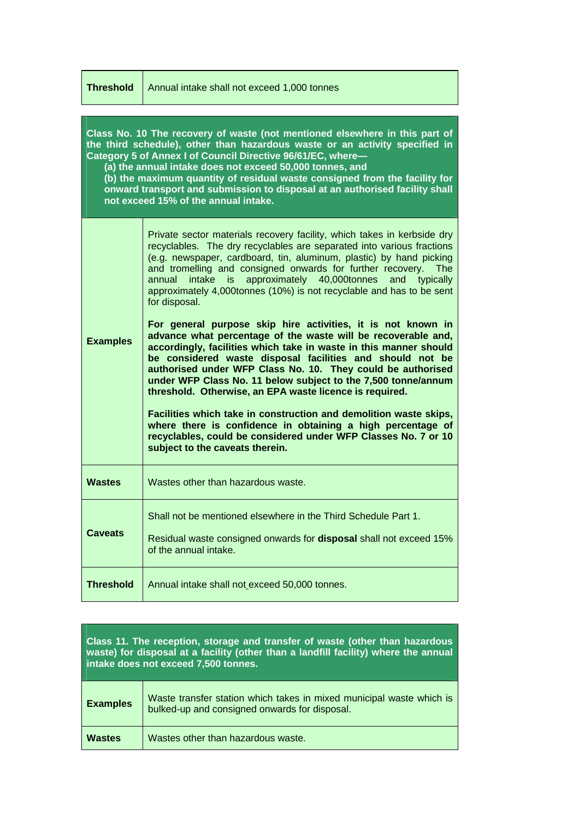| <b>Threshold</b>                                                                                                                                                                                                                                                                                                                                                                                                                                                                           | Annual intake shall not exceed 1,000 tonnes                                                                                                                                                                                                                                                                                                                                                                                                                                                                                                                                                                                                                                                                                                                                                                                                                                                                                                                                                                                                                                                                                                                                  |
|--------------------------------------------------------------------------------------------------------------------------------------------------------------------------------------------------------------------------------------------------------------------------------------------------------------------------------------------------------------------------------------------------------------------------------------------------------------------------------------------|------------------------------------------------------------------------------------------------------------------------------------------------------------------------------------------------------------------------------------------------------------------------------------------------------------------------------------------------------------------------------------------------------------------------------------------------------------------------------------------------------------------------------------------------------------------------------------------------------------------------------------------------------------------------------------------------------------------------------------------------------------------------------------------------------------------------------------------------------------------------------------------------------------------------------------------------------------------------------------------------------------------------------------------------------------------------------------------------------------------------------------------------------------------------------|
| Class No. 10 The recovery of waste (not mentioned elsewhere in this part of<br>the third schedule), other than hazardous waste or an activity specified in<br>Category 5 of Annex I of Council Directive 96/61/EC, where-<br>(a) the annual intake does not exceed 50,000 tonnes, and<br>(b) the maximum quantity of residual waste consigned from the facility for<br>onward transport and submission to disposal at an authorised facility shall<br>not exceed 15% of the annual intake. |                                                                                                                                                                                                                                                                                                                                                                                                                                                                                                                                                                                                                                                                                                                                                                                                                                                                                                                                                                                                                                                                                                                                                                              |
| <b>Examples</b>                                                                                                                                                                                                                                                                                                                                                                                                                                                                            | Private sector materials recovery facility, which takes in kerbside dry<br>recyclables. The dry recyclables are separated into various fractions<br>(e.g. newspaper, cardboard, tin, aluminum, plastic) by hand picking<br>and tromelling and consigned onwards for further recovery.<br><b>The</b><br>is approximately 40,000tonnes<br>annual<br>intake<br>typically<br>and<br>approximately 4,000tonnes (10%) is not recyclable and has to be sent<br>for disposal.<br>For general purpose skip hire activities, it is not known in<br>advance what percentage of the waste will be recoverable and,<br>accordingly, facilities which take in waste in this manner should<br>be considered waste disposal facilities and should not be<br>authorised under WFP Class No. 10. They could be authorised<br>under WFP Class No. 11 below subject to the 7,500 tonne/annum<br>threshold. Otherwise, an EPA waste licence is required.<br>Facilities which take in construction and demolition waste skips,<br>where there is confidence in obtaining a high percentage of<br>recyclables, could be considered under WFP Classes No. 7 or 10<br>subject to the caveats therein. |
| <b>Wastes</b>                                                                                                                                                                                                                                                                                                                                                                                                                                                                              | Wastes other than hazardous waste.                                                                                                                                                                                                                                                                                                                                                                                                                                                                                                                                                                                                                                                                                                                                                                                                                                                                                                                                                                                                                                                                                                                                           |
| <b>Caveats</b>                                                                                                                                                                                                                                                                                                                                                                                                                                                                             | Shall not be mentioned elsewhere in the Third Schedule Part 1.<br>Residual waste consigned onwards for <b>disposal</b> shall not exceed 15%<br>of the annual intake.                                                                                                                                                                                                                                                                                                                                                                                                                                                                                                                                                                                                                                                                                                                                                                                                                                                                                                                                                                                                         |
| <b>Threshold</b>                                                                                                                                                                                                                                                                                                                                                                                                                                                                           | Annual intake shall not exceed 50,000 tonnes.                                                                                                                                                                                                                                                                                                                                                                                                                                                                                                                                                                                                                                                                                                                                                                                                                                                                                                                                                                                                                                                                                                                                |

| Class 11. The reception, storage and transfer of waste (other than hazardous<br>waste) for disposal at a facility (other than a landfill facility) where the annual<br>intake does not exceed 7,500 tonnes. |                                                                                                                       |
|-------------------------------------------------------------------------------------------------------------------------------------------------------------------------------------------------------------|-----------------------------------------------------------------------------------------------------------------------|
| <b>Examples</b>                                                                                                                                                                                             | Waste transfer station which takes in mixed municipal waste which is<br>bulked-up and consigned onwards for disposal. |
| <b>Wastes</b>                                                                                                                                                                                               | Wastes other than hazardous waste.                                                                                    |

**The Committee of the Committee** 

T.